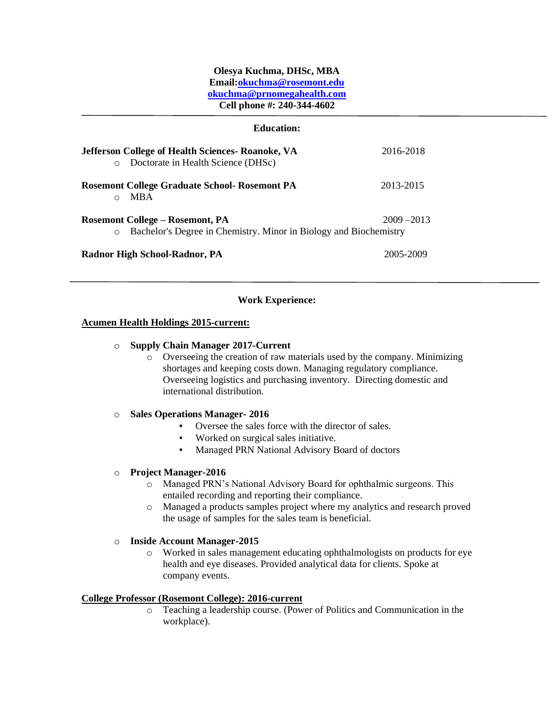# **Olesya Kuchma, DHSc, MBA Email[:okuchma@rosemont.edu](mailto:okuchma@rosemont.edu) okuchma@prnomegahealth.com Cell phone #: 240-344-4602**

| <b>Education:</b>                                                                                               |               |
|-----------------------------------------------------------------------------------------------------------------|---------------|
| <b>Jefferson College of Health Sciences- Roanoke, VA</b><br>Doctorate in Health Science (DHSc)<br>$\circ$       | 2016-2018     |
| <b>Rosemont College Graduate School- Rosemont PA</b><br><b>MBA</b><br>$\Omega$                                  | 2013-2015     |
| Rosemont College – Rosemont, PA<br>Bachelor's Degree in Chemistry. Minor in Biology and Biochemistry<br>$\circ$ | $2009 - 2013$ |
| Radnor High School-Radnor, PA                                                                                   | 2005-2009     |

# **Work Experience:**

# **Acumen Health Holdings 2015-current:**

# o **Supply Chain Manager 2017-Current**

o Overseeing the creation of raw materials used by the company. Minimizing shortages and keeping costs down. Managing regulatory compliance. Overseeing logistics and purchasing inventory. Directing domestic and international distribution.

# o **Sales Operations Manager- 2016**

- Oversee the sales force with the director of sales.
- Worked on surgical sales initiative.
- Managed PRN National Advisory Board of doctors

# o **Project Manager-2016**

- o Managed PRN's National Advisory Board for ophthalmic surgeons. This entailed recording and reporting their compliance.
- o Managed a products samples project where my analytics and research proved the usage of samples for the sales team is beneficial.

# o **Inside Account Manager-2015**

o Worked in sales management educating ophthalmologists on products for eye health and eye diseases. Provided analytical data for clients. Spoke at company events.

# **College Professor (Rosemont College): 2016-current**

o Teaching a leadership course. (Power of Politics and Communication in the workplace).